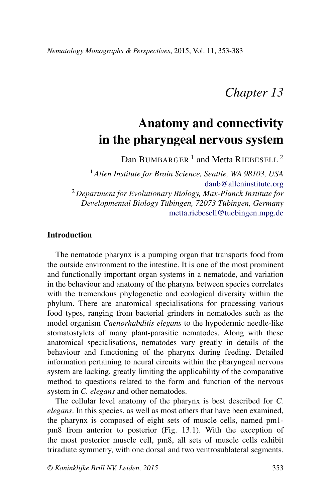## *Chapter 13*

# **Anatomy and connectivity in the pharyngeal nervous system**

Dan BUMBARGER<sup>1</sup> and Metta RIEBESELL<sup>2</sup>

<sup>1</sup> *Allen Institute for Brain Science, Seattle, WA 98103, USA* [danb@alleninstitute.org](mailto:danb@alleninstitute.org) <sup>2</sup> *Department for Evolutionary Biology, Max-Planck Institute for Developmental Biology Tübingen, 72073 Tübingen, Germany* [metta.riebesell@tuebingen.mpg.de](mailto:metta.riebesell@tuebingen.mpg.de)

## **Introduction**

The nematode pharynx is a pumping organ that transports food from the outside environment to the intestine. It is one of the most prominent and functionally important organ systems in a nematode, and variation in the behaviour and anatomy of the pharynx between species correlates with the tremendous phylogenetic and ecological diversity within the phylum. There are anatomical specialisations for processing various food types, ranging from bacterial grinders in nematodes such as the model organism *Caenorhabditis elegans* to the hypodermic needle-like stomatostylets of many plant-parasitic nematodes. Along with these anatomical specialisations, nematodes vary greatly in details of the behaviour and functioning of the pharynx during feeding. Detailed information pertaining to neural circuits within the pharyngeal nervous system are lacking, greatly limiting the applicability of the comparative method to questions related to the form and function of the nervous system in *C. elegans* and other nematodes.

The cellular level anatomy of the pharynx is best described for *C. elegans*. In this species, as well as most others that have been examined, the pharynx is composed of eight sets of muscle cells, named pm1 pm8 from anterior to posterior (Fig. 13.1). With the exception of the most posterior muscle cell, pm8, all sets of muscle cells exhibit triradiate symmetry, with one dorsal and two ventrosublateral segments.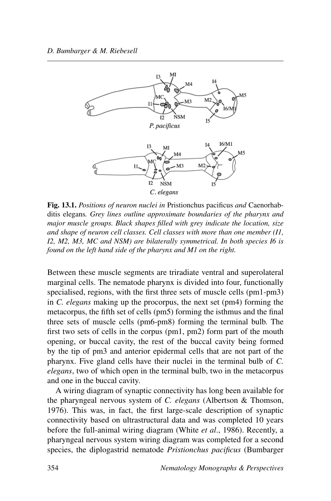

**Fig. 13.1.** *Positions of neuron nuclei in* Pristionchus pacificus *and* Caenorhabditis elegans*. Grey lines outline approximate boundaries of the pharynx and major muscle groups. Black shapes filled with grey indicate the location, size and shape of neuron cell classes. Cell classes with more than one member (I1, I2, M2, M3, MC and NSM) are bilaterally symmetrical. In both species I6 is found on the left hand side of the pharynx and M1 on the right.*

Between these muscle segments are triradiate ventral and superolateral marginal cells. The nematode pharynx is divided into four, functionally specialised, regions, with the first three sets of muscle cells (pm1-pm3) in *C. elegans* making up the procorpus, the next set (pm4) forming the metacorpus, the fifth set of cells (pm5) forming the isthmus and the final three sets of muscle cells (pm6-pm8) forming the terminal bulb. The first two sets of cells in the corpus (pm1, pm2) form part of the mouth opening, or buccal cavity, the rest of the buccal cavity being formed by the tip of pm3 and anterior epidermal cells that are not part of the pharynx. Five gland cells have their nuclei in the terminal bulb of *C. elegans*, two of which open in the terminal bulb, two in the metacorpus and one in the buccal cavity.

A wiring diagram of synaptic connectivity has long been available for the pharyngeal nervous system of *C. elegans* (Albertson & Thomson, 1976). This was, in fact, the first large-scale description of synaptic connectivity based on ultrastructural data and was completed 10 years before the full-animal wiring diagram (White *et al*., 1986). Recently, a pharyngeal nervous system wiring diagram was completed for a second species, the diplogastrid nematode *Pristionchus pacificus* (Bumbarger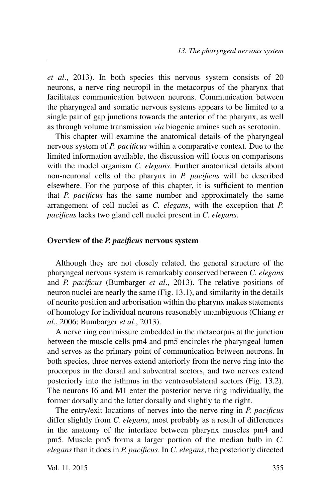*et al*., 2013). In both species this nervous system consists of 20 neurons, a nerve ring neuropil in the metacorpus of the pharynx that facilitates communication between neurons. Communication between the pharyngeal and somatic nervous systems appears to be limited to a single pair of gap junctions towards the anterior of the pharynx, as well as through volume transmission *via* biogenic amines such as serotonin.

This chapter will examine the anatomical details of the pharyngeal nervous system of *P. pacificus* within a comparative context. Due to the limited information available, the discussion will focus on comparisons with the model organism *C. elegans*. Further anatomical details about non-neuronal cells of the pharynx in *P. pacificus* will be described elsewhere. For the purpose of this chapter, it is sufficient to mention that *P. pacificus* has the same number and approximately the same arrangement of cell nuclei as *C. elegans*, with the exception that *P. pacificus* lacks two gland cell nuclei present in *C. elegans*.

## **Overview of the** *P. pacificus* **nervous system**

Although they are not closely related, the general structure of the pharyngeal nervous system is remarkably conserved between *C. elegans* and *P. pacificus* (Bumbarger *et al*., 2013). The relative positions of neuron nuclei are nearly the same (Fig. 13.1), and similarity in the details of neurite position and arborisation within the pharynx makes statements of homology for individual neurons reasonably unambiguous (Chiang *et al*., 2006; Bumbarger *et al*., 2013).

A nerve ring commissure embedded in the metacorpus at the junction between the muscle cells pm4 and pm5 encircles the pharyngeal lumen and serves as the primary point of communication between neurons. In both species, three nerves extend anteriorly from the nerve ring into the procorpus in the dorsal and subventral sectors, and two nerves extend posteriorly into the isthmus in the ventrosublateral sectors (Fig. 13.2). The neurons I6 and M1 enter the posterior nerve ring individually, the former dorsally and the latter dorsally and slightly to the right.

The entry/exit locations of nerves into the nerve ring in *P. pacificus* differ slightly from *C. elegans*, most probably as a result of differences in the anatomy of the interface between pharynx muscles pm4 and pm5. Muscle pm5 forms a larger portion of the median bulb in *C. elegans* than it does in *P. pacificus*. In *C. elegans*, the posteriorly directed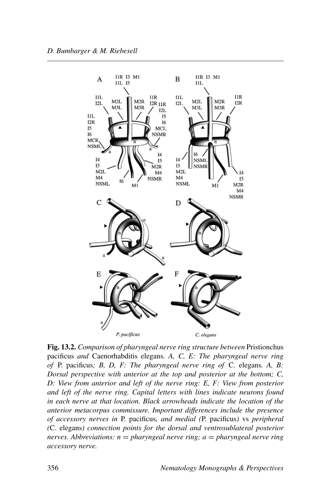

**Fig. 13.2.** *Comparison of pharyngeal nerve ring structure between* Pristionchus pacificus *and* Caenorhabditis elegans*. A, C, E: The pharyngeal nerve ring of* P. pacificus*; B, D, F: The pharyngeal nerve ring of* C. elegans*. A, B: Dorsal perspective with anterior at the top and posterior at the bottom; C, D: View from anterior and left of the nerve ring: E, F: View from posterior and left of the nerve ring. Capital letters with lines indicate neurons found in each nerve at that location. Black arrowheads indicate the location of the anterior metacorpus commissure. Important differences include the presence of accessory nerves in* P. pacificus*, and medial (*P. pacificus*)* vs *peripheral (*C. elegans*) connection points for the dorsal and ventrosublateral posterior nerves. Abbreviations: n* = *pharyngeal nerve ring; a* = *pharyngeal nerve ring accessory nerve.*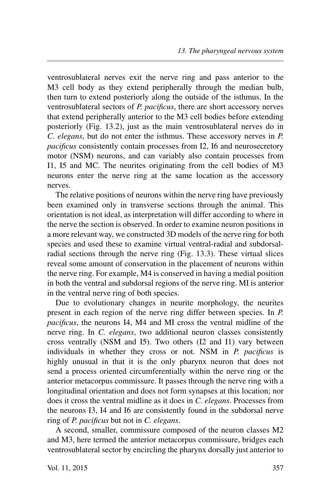ventrosublateral nerves exit the nerve ring and pass anterior to the M3 cell body as they extend peripherally through the median bulb, then turn to extend posteriorly along the outside of the isthmus. In the ventrosublateral sectors of *P. pacificus*, there are short accessory nerves that extend peripherally anterior to the M3 cell bodies before extending posteriorly (Fig. 13.2), just as the main ventrosublateral nerves do in *C. elegans*, but do not enter the isthmus. These accessory nerves in *P. pacificus* consistently contain processes from I2, I6 and neurosecretory motor (NSM) neurons, and can variably also contain processes from I1, I5 and MC. The neurites originating from the cell bodies of M3 neurons enter the nerve ring at the same location as the accessory nerves.

The relative positions of neurons within the nerve ring have previously been examined only in transverse sections through the animal. This orientation is not ideal, as interpretation will differ according to where in the nerve the section is observed. In order to examine neuron positions in a more relevant way, we constructed 3D models of the nerve ring for both species and used these to examine virtual ventral-radial and subdorsalradial sections through the nerve ring (Fig. 13.3). These virtual slices reveal some amount of conservation in the placement of neurons within the nerve ring. For example, M4 is conserved in having a medial position in both the ventral and subdorsal regions of the nerve ring. MI is anterior in the ventral nerve ring of both species.

Due to evolutionary changes in neurite morphology, the neurites present in each region of the nerve ring differ between species. In *P. pacificus*, the neurons I4, M4 and MI cross the ventral midline of the nerve ring. In *C. elegans*, two additional neuron classes consistently cross ventrally (NSM and I5). Two others (I2 and I1) vary between individuals in whether they cross or not. NSM in *P. pacificus* is highly unusual in that it is the only pharynx neuron that does not send a process oriented circumferentially within the nerve ring or the anterior metacorpus commissure. It passes through the nerve ring with a longitudinal orientation and does not form synapses at this location; nor does it cross the ventral midline as it does in *C. elegans*. Processes from the neurons I3, I4 and I6 are consistently found in the subdorsal nerve ring of *P. pacificus* but not in *C. elegans*.

A second, smaller, commissure composed of the neuron classes M2 and M3, here termed the anterior metacorpus commissure, bridges each ventrosublateral sector by encircling the pharynx dorsally just anterior to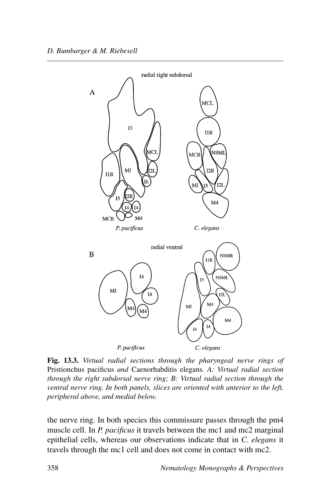

**Fig. 13.3.** *Virtual radial sections through the pharyngeal nerve rings of* Pristionchus pacificus *and* Caenorhabditis elegans*. A: Virtual radial section through the right subdorsal nerve ring; B: Virtual radial section through the ventral nerve ring. In both panels, slices are oriented with anterior to the left, peripheral above, and medial below.*

the nerve ring. In both species this commissure passes through the pm4 muscle cell. In *P. pacificus* it travels between the mc1 and mc2 marginal epithelial cells, whereas our observations indicate that in *C. elegans* it travels through the mc1 cell and does not come in contact with mc2.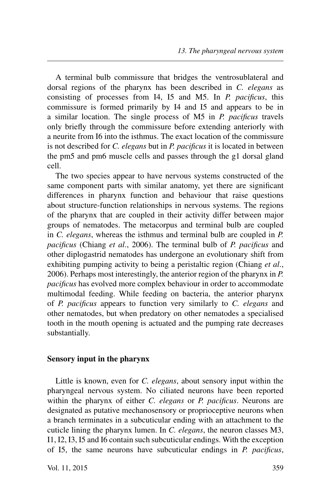A terminal bulb commissure that bridges the ventrosublateral and dorsal regions of the pharynx has been described in *C. elegans* as consisting of processes from I4, I5 and M5. In *P. pacificus*, this commissure is formed primarily by I4 and I5 and appears to be in a similar location. The single process of M5 in *P. pacificus* travels only briefly through the commissure before extending anteriorly with a neurite from I6 into the isthmus. The exact location of the commissure is not described for *C. elegans* but in *P. pacificus* it is located in between the pm5 and pm6 muscle cells and passes through the g1 dorsal gland cell.

The two species appear to have nervous systems constructed of the same component parts with similar anatomy, yet there are significant differences in pharynx function and behaviour that raise questions about structure-function relationships in nervous systems. The regions of the pharynx that are coupled in their activity differ between major groups of nematodes. The metacorpus and terminal bulb are coupled in *C. elegans*, whereas the isthmus and terminal bulb are coupled in *P. pacificus* (Chiang *et al*., 2006). The terminal bulb of *P. pacificus* and other diplogastrid nematodes has undergone an evolutionary shift from exhibiting pumping activity to being a peristaltic region (Chiang *et al*., 2006). Perhaps most interestingly, the anterior region of the pharynx in *P. pacificus* has evolved more complex behaviour in order to accommodate multimodal feeding. While feeding on bacteria, the anterior pharynx of *P. pacificus* appears to function very similarly to *C. elegans* and other nematodes, but when predatory on other nematodes a specialised tooth in the mouth opening is actuated and the pumping rate decreases substantially.

#### **Sensory input in the pharynx**

Little is known, even for *C. elegans*, about sensory input within the pharyngeal nervous system. No ciliated neurons have been reported within the pharynx of either *C. elegans* or *P. pacificus*. Neurons are designated as putative mechanosensory or proprioceptive neurons when a branch terminates in a subcuticular ending with an attachment to the cuticle lining the pharynx lumen. In *C. elegans*, the neuron classes M3, I1, I2, I3, I5 and I6 contain such subcuticular endings. With the exception of I5, the same neurons have subcuticular endings in *P. pacificus*,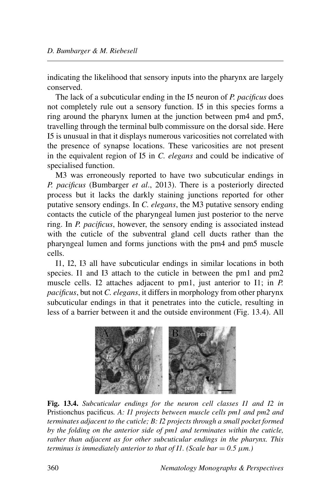indicating the likelihood that sensory inputs into the pharynx are largely conserved.

The lack of a subcuticular ending in the I5 neuron of *P. pacificus* does not completely rule out a sensory function. I5 in this species forms a ring around the pharynx lumen at the junction between pm4 and pm5, travelling through the terminal bulb commissure on the dorsal side. Here I5 is unusual in that it displays numerous varicosities not correlated with the presence of synapse locations. These varicosities are not present in the equivalent region of I5 in *C. elegans* and could be indicative of specialised function.

M3 was erroneously reported to have two subcuticular endings in *P. pacificus* (Bumbarger *et al*., 2013). There is a posteriorly directed process but it lacks the darkly staining junctions reported for other putative sensory endings. In *C. elegans*, the M3 putative sensory ending contacts the cuticle of the pharyngeal lumen just posterior to the nerve ring. In *P. pacificus*, however, the sensory ending is associated instead with the cuticle of the subventral gland cell ducts rather than the pharyngeal lumen and forms junctions with the pm4 and pm5 muscle cells.

I1, I2, I3 all have subcuticular endings in similar locations in both species. I1 and I3 attach to the cuticle in between the pm1 and pm2 muscle cells. I2 attaches adjacent to pm1, just anterior to I1; in *P. pacificus*, but not *C. elegans*, it differs in morphology from other pharynx subcuticular endings in that it penetrates into the cuticle, resulting in less of a barrier between it and the outside environment (Fig. 13.4). All



**Fig. 13.4.** *Subcuticular endings for the neuron cell classes I1 and I2 in* Pristionchus pacificus*. A: I1 projects between muscle cells pm1 and pm2 and terminates adjacent to the cuticle; B: I2 projects through a small pocket formed by the folding on the anterior side of pm1 and terminates within the cuticle, rather than adjacent as for other subcuticular endings in the pharynx. This terminus is immediately anterior to that of I1. (Scale bar*  $= 0.5 \mu m$ *.)*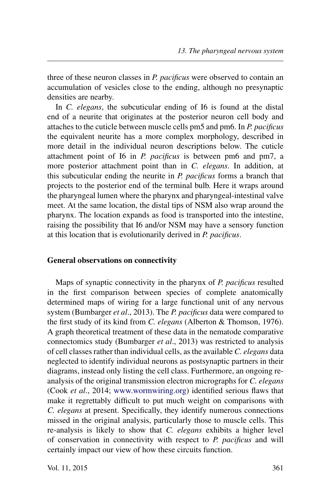three of these neuron classes in *P. pacificus* were observed to contain an accumulation of vesicles close to the ending, although no presynaptic densities are nearby.

In *C. elegans*, the subcuticular ending of I6 is found at the distal end of a neurite that originates at the posterior neuron cell body and attaches to the cuticle between muscle cells pm5 and pm6. In *P. pacificus* the equivalent neurite has a more complex morphology, described in more detail in the individual neuron descriptions below. The cuticle attachment point of I6 in *P. pacificus* is between pm6 and pm7, a more posterior attachment point than in *C. elegans*. In addition, at this subcuticular ending the neurite in *P. pacificus* forms a branch that projects to the posterior end of the terminal bulb. Here it wraps around the pharyngeal lumen where the pharynx and pharyngeal-intestinal valve meet. At the same location, the distal tips of NSM also wrap around the pharynx. The location expands as food is transported into the intestine, raising the possibility that I6 and/or NSM may have a sensory function at this location that is evolutionarily derived in *P. pacificus*.

#### **General observations on connectivity**

Maps of synaptic connectivity in the pharynx of *P. pacificus* resulted in the first comparison between species of complete anatomically determined maps of wiring for a large functional unit of any nervous system (Bumbarger *et al*., 2013). The *P. pacificus* data were compared to the first study of its kind from *C. elegans* (Alberton & Thomson, 1976). A graph theoretical treatment of these data in the nematode comparative connectomics study (Bumbarger *et al*., 2013) was restricted to analysis of cell classes rather than individual cells, as the available *C. elegans* data neglected to identify individual neurons as postsynaptic partners in their diagrams, instead only listing the cell class. Furthermore, an ongoing reanalysis of the original transmission electron micrographs for *C. elegans* (Cook *et al*., 2014; [www.wormwiring.org\)](http://www.wormwiring.org) identified serious flaws that make it regrettably difficult to put much weight on comparisons with *C. elegans* at present. Specifically, they identify numerous connections missed in the original analysis, particularly those to muscle cells. This re-analysis is likely to show that *C. elegans* exhibits a higher level of conservation in connectivity with respect to *P. pacificus* and will certainly impact our view of how these circuits function.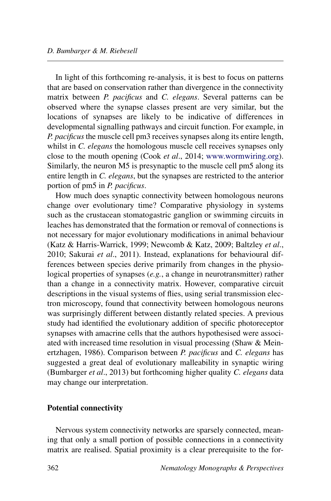In light of this forthcoming re-analysis, it is best to focus on patterns that are based on conservation rather than divergence in the connectivity matrix between *P. pacificus* and *C. elegans*. Several patterns can be observed where the synapse classes present are very similar, but the locations of synapses are likely to be indicative of differences in developmental signalling pathways and circuit function. For example, in *P. pacificus* the muscle cell pm3 receives synapses along its entire length, whilst in *C. elegans* the homologous muscle cell receives synapses only close to the mouth opening (Cook *et al*., 2014; [www.wormwiring.org](http://www.wormwiring.org)). Similarly, the neuron M5 is presynaptic to the muscle cell pm5 along its entire length in *C. elegans*, but the synapses are restricted to the anterior portion of pm5 in *P. pacificus*.

How much does synaptic connectivity between homologous neurons change over evolutionary time? Comparative physiology in systems such as the crustacean stomatogastric ganglion or swimming circuits in leaches has demonstrated that the formation or removal of connections is not necessary for major evolutionary modifications in animal behaviour (Katz & Harris-Warrick, 1999; Newcomb & Katz, 2009; Baltzley *et al*., 2010; Sakurai *et al*., 2011). Instead, explanations for behavioural differences between species derive primarily from changes in the physiological properties of synapses (*e.g.*, a change in neurotransmitter) rather than a change in a connectivity matrix. However, comparative circuit descriptions in the visual systems of flies, using serial transmission electron microscopy, found that connectivity between homologous neurons was surprisingly different between distantly related species. A previous study had identified the evolutionary addition of specific photoreceptor synapses with amacrine cells that the authors hypothesised were associated with increased time resolution in visual processing (Shaw & Meinertzhagen, 1986). Comparison between *P. pacificus* and *C. elegans* has suggested a great deal of evolutionary malleability in synaptic wiring (Bumbarger *et al*., 2013) but forthcoming higher quality *C. elegans* data may change our interpretation.

## **Potential connectivity**

Nervous system connectivity networks are sparsely connected, meaning that only a small portion of possible connections in a connectivity matrix are realised. Spatial proximity is a clear prerequisite to the for-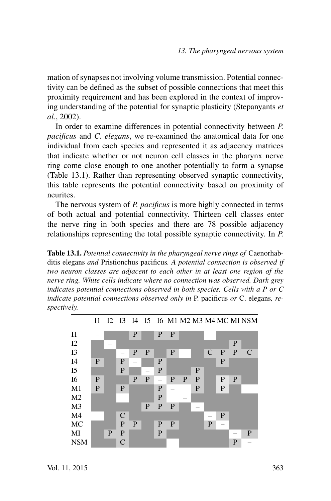mation of synapses not involving volume transmission. Potential connectivity can be defined as the subset of possible connections that meet this proximity requirement and has been explored in the context of improving understanding of the potential for synaptic plasticity (Stepanyants *et al*., 2002).

In order to examine differences in potential connectivity between *P. pacificus* and *C. elegans*, we re-examined the anatomical data for one individual from each species and represented it as adjacency matrices that indicate whether or not neuron cell classes in the pharynx nerve ring come close enough to one another potentially to form a synapse (Table 13.1). Rather than representing observed synaptic connectivity, this table represents the potential connectivity based on proximity of neurites.

The nervous system of *P. pacificus* is more highly connected in terms of both actual and potential connectivity. Thirteen cell classes enter the nerve ring in both species and there are 78 possible adjacency relationships representing the total possible synaptic connectivity. In *P.*

**Table 13.1.** *Potential connectivity in the pharyngeal nerve rings of* Caenorhabditis elegans *and* Pristionchus pacificus*. A potential connection is observed if two neuron classes are adjacent to each other in at least one region of the nerve ring. White cells indicate where no connection was observed. Dark grey indicates potential connections observed in both species. Cells with a P or C indicate potential connections observed only in* P. pacificus *or* C. elegans*, respectively.*

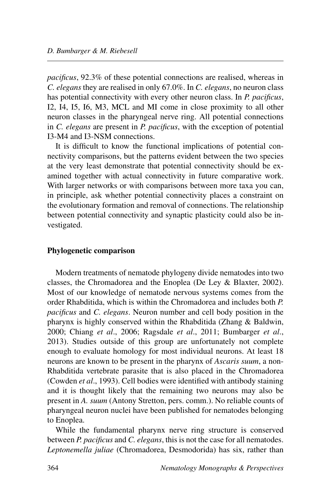*pacificus*, 92.3% of these potential connections are realised, whereas in *C. elegans* they are realised in only 67.0%. In *C. elegans*, no neuron class has potential connectivity with every other neuron class. In *P. pacificus*, I2, I4, I5, I6, M3, MCL and MI come in close proximity to all other neuron classes in the pharyngeal nerve ring. All potential connections in *C. elegans* are present in *P. pacificus*, with the exception of potential I3-M4 and I3-NSM connections.

It is difficult to know the functional implications of potential connectivity comparisons, but the patterns evident between the two species at the very least demonstrate that potential connectivity should be examined together with actual connectivity in future comparative work. With larger networks or with comparisons between more taxa you can, in principle, ask whether potential connectivity places a constraint on the evolutionary formation and removal of connections. The relationship between potential connectivity and synaptic plasticity could also be investigated.

## **Phylogenetic comparison**

Modern treatments of nematode phylogeny divide nematodes into two classes, the Chromadorea and the Enoplea (De Ley & Blaxter, 2002). Most of our knowledge of nematode nervous systems comes from the order Rhabditida, which is within the Chromadorea and includes both *P. pacificus* and *C. elegans*. Neuron number and cell body position in the pharynx is highly conserved within the Rhabditida (Zhang & Baldwin, 2000; Chiang *et al*., 2006; Ragsdale *et al*., 2011; Bumbarger *et al*., 2013). Studies outside of this group are unfortunately not complete enough to evaluate homology for most individual neurons. At least 18 neurons are known to be present in the pharynx of *Ascaris suum*, a non-Rhabditida vertebrate parasite that is also placed in the Chromadorea (Cowden *et al*., 1993). Cell bodies were identified with antibody staining and it is thought likely that the remaining two neurons may also be present in *A. suum* (Antony Stretton, pers. comm.). No reliable counts of pharyngeal neuron nuclei have been published for nematodes belonging to Enoplea.

While the fundamental pharynx nerve ring structure is conserved between *P. pacificus* and *C. elegans*, this is not the case for all nematodes. *Leptonemella juliae* (Chromadorea, Desmodorida) has six, rather than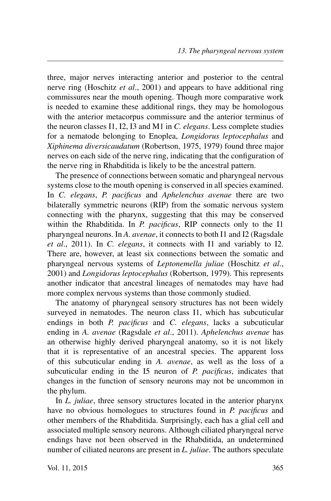three, major nerves interacting anterior and posterior to the central nerve ring (Hoschitz *et al*., 2001) and appears to have additional ring commissures near the mouth opening. Though more comparative work is needed to examine these additional rings, they may be homologous with the anterior metacorpus commissure and the anterior terminus of the neuron classes I1, I2, I3 and M1 in *C. elegans*. Less complete studies for a nematode belonging to Enoplea, *Longidorus leptocephalus* and *Xiphinema diversicaudatum* (Robertson, 1975, 1979) found three major nerves on each side of the nerve ring, indicating that the configuration of the nerve ring in Rhabditida is likely to be the ancestral pattern.

The presence of connections between somatic and pharyngeal nervous systems close to the mouth opening is conserved in all species examined. In *C. elegans*, *P. pacificus* and *Aphelenchus avenae* there are two bilaterally symmetric neurons (RIP) from the somatic nervous system connecting with the pharynx, suggesting that this may be conserved within the Rhabditida. In *P. pacificus*, RIP connects only to the I1 pharyngeal neurons. In *A. avenae*, it connects to both I1 and I2 (Ragsdale *et al*., 2011). In *C. elegans*, it connects with I1 and variably to I2. There are, however, at least six connections between the somatic and pharyngeal nervous systems of *Leptonemella juliae* (Hoschitz *et al*., 2001) and *Longidorus leptocephalus* (Robertson, 1979). This represents another indicator that ancestral lineages of nematodes may have had more complex nervous systems than those commonly studied.

The anatomy of pharyngeal sensory structures has not been widely surveyed in nematodes. The neuron class I1, which has subcuticular endings in both *P. pacificus* and *C. elegans*, lacks a subcuticular ending in *A. avenae* (Ragsdale *et al*., 2011). *Aphelenchus avenae* has an otherwise highly derived pharyngeal anatomy, so it is not likely that it is representative of an ancestral species. The apparent loss of this subcuticular ending in *A. avenae*, as well as the loss of a subcuticular ending in the I5 neuron of *P. pacificus*, indicates that changes in the function of sensory neurons may not be uncommon in the phylum.

In *L. juliae*, three sensory structures located in the anterior pharynx have no obvious homologues to structures found in *P. pacificus* and other members of the Rhabditida. Surprisingly, each has a glial cell and associated multiple sensory neurons. Although ciliated pharyngeal nerve endings have not been observed in the Rhabditida, an undetermined number of ciliated neurons are present in *L. juliae*. The authors speculate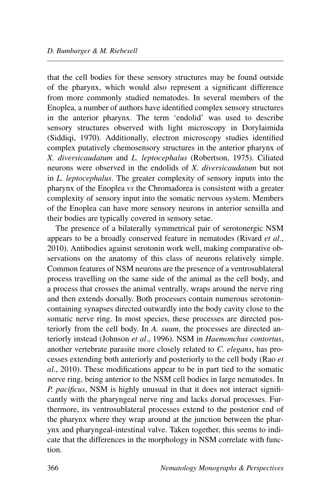that the cell bodies for these sensory structures may be found outside of the pharynx, which would also represent a significant difference from more commonly studied nematodes. In several members of the Enoplea, a number of authors have identified complex sensory structures in the anterior pharynx. The term 'endolid' was used to describe sensory structures observed with light microscopy in Dorylaimida (Siddiqi, 1970). Additionally, electron microscopy studies identified complex putatively chemosensory structures in the anterior pharynx of *X. diversicaudatum* and *L. leptocephalus* (Robertson, 1975). Ciliated neurons were observed in the endolids of *X. diversicaudatum* but not in *L. leptocephalus*. The greater complexity of sensory inputs into the pharynx of the Enoplea *vs* the Chromadorea is consistent with a greater complexity of sensory input into the somatic nervous system. Members of the Enoplea can have more sensory neurons in anterior sensilla and their bodies are typically covered in sensory setae.

The presence of a bilaterally symmetrical pair of serotonergic NSM appears to be a broadly conserved feature in nematodes (Rivard *et al*., 2010). Antibodies against serotonin work well, making comparative observations on the anatomy of this class of neurons relatively simple. Common features of NSM neurons are the presence of a ventrosublateral process travelling on the same side of the animal as the cell body, and a process that crosses the animal ventrally, wraps around the nerve ring and then extends dorsally. Both processes contain numerous serotonincontaining synapses directed outwardly into the body cavity close to the somatic nerve ring. In most species, these processes are directed posteriorly from the cell body. In *A. suum*, the processes are directed anteriorly instead (Johnson *et al*., 1996). NSM in *Haemonchus contortus*, another vertebrate parasite more closely related to *C. elegans*, has processes extending both anteriorly and posteriorly to the cell body (Rao *et al*., 2010). These modifications appear to be in part tied to the somatic nerve ring, being anterior to the NSM cell bodies in large nematodes. In *P. pacificus*, NSM is highly unusual in that it does not interact significantly with the pharyngeal nerve ring and lacks dorsal processes. Furthermore, its ventrosublateral processes extend to the posterior end of the pharynx where they wrap around at the junction between the pharynx and pharyngeal-intestinal valve. Taken together, this seems to indicate that the differences in the morphology in NSM correlate with function.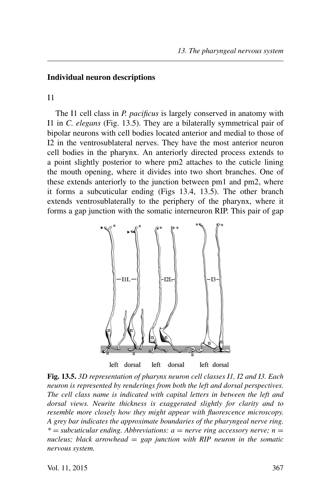## **Individual neuron descriptions**

I1

The I1 cell class in *P. pacificus* is largely conserved in anatomy with I1 in *C. elegans* (Fig. 13.5). They are a bilaterally symmetrical pair of bipolar neurons with cell bodies located anterior and medial to those of I2 in the ventrosublateral nerves. They have the most anterior neuron cell bodies in the pharynx. An anteriorly directed process extends to a point slightly posterior to where pm2 attaches to the cuticle lining the mouth opening, where it divides into two short branches. One of these extends anteriorly to the junction between pm1 and pm2, where it forms a subcuticular ending (Figs 13.4, 13.5). The other branch extends ventrosublaterally to the periphery of the pharynx, where it forms a gap junction with the somatic interneuron RIP. This pair of gap



**Fig. 13.5.** *3D representation of pharynx neuron cell classes I1, I2 and I3. Each neuron is represented by renderings from both the left and dorsal perspectives. The cell class name is indicated with capital letters in between the left and dorsal views. Neurite thickness is exaggerated slightly for clarity and to resemble more closely how they might appear with fluorescence microscopy. A grey bar indicates the approximate boundaries of the pharyngeal nerve ring.*  $*$  = *subcuticular ending. Abbreviations: a* = *nerve ring accessory nerve; n* = *nucleus; black arrowhead* = *gap junction with RIP neuron in the somatic nervous system.*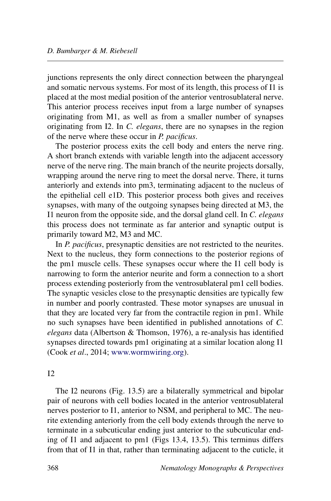junctions represents the only direct connection between the pharyngeal and somatic nervous systems. For most of its length, this process of I1 is placed at the most medial position of the anterior ventrosublateral nerve. This anterior process receives input from a large number of synapses originating from M1, as well as from a smaller number of synapses originating from I2. In *C. elegans*, there are no synapses in the region of the nerve where these occur in *P. pacificus*.

The posterior process exits the cell body and enters the nerve ring. A short branch extends with variable length into the adjacent accessory nerve of the nerve ring. The main branch of the neurite projects dorsally, wrapping around the nerve ring to meet the dorsal nerve. There, it turns anteriorly and extends into pm3, terminating adjacent to the nucleus of the epithelial cell e1D. This posterior process both gives and receives synapses, with many of the outgoing synapses being directed at M3, the I1 neuron from the opposite side, and the dorsal gland cell. In *C. elegans* this process does not terminate as far anterior and synaptic output is primarily toward M2, M3 and MC.

In *P. pacificus*, presynaptic densities are not restricted to the neurites. Next to the nucleus, they form connections to the posterior regions of the pm1 muscle cells. These synapses occur where the I1 cell body is narrowing to form the anterior neurite and form a connection to a short process extending posteriorly from the ventrosublateral pm1 cell bodies. The synaptic vesicles close to the presynaptic densities are typically few in number and poorly contrasted. These motor synapses are unusual in that they are located very far from the contractile region in pm1. While no such synapses have been identified in published annotations of *C. elegans* data (Albertson & Thomson, 1976), a re-analysis has identified synapses directed towards pm1 originating at a similar location along I1 (Cook *et al*., 2014; [www.wormwiring.org](http://www.wormwiring.org)).

#### $I2$

The I2 neurons (Fig. 13.5) are a bilaterally symmetrical and bipolar pair of neurons with cell bodies located in the anterior ventrosublateral nerves posterior to I1, anterior to NSM, and peripheral to MC. The neurite extending anteriorly from the cell body extends through the nerve to terminate in a subcuticular ending just anterior to the subcuticular ending of I1 and adjacent to pm1 (Figs 13.4, 13.5). This terminus differs from that of I1 in that, rather than terminating adjacent to the cuticle, it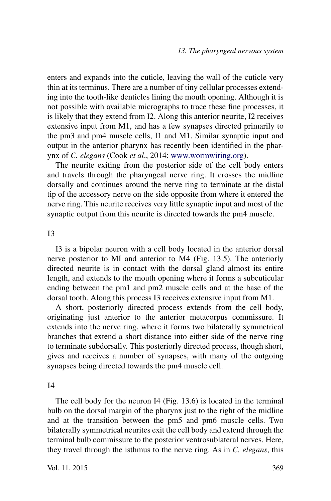enters and expands into the cuticle, leaving the wall of the cuticle very thin at its terminus. There are a number of tiny cellular processes extending into the tooth-like denticles lining the mouth opening. Although it is not possible with available micrographs to trace these fine processes, it is likely that they extend from I2. Along this anterior neurite, I2 receives extensive input from M1, and has a few synapses directed primarily to the pm3 and pm4 muscle cells, I1 and M1. Similar synaptic input and output in the anterior pharynx has recently been identified in the pharynx of *C. elegans* (Cook *et al*., 2014; [www.wormwiring.org\)](http://www.wormwiring.org).

The neurite exiting from the posterior side of the cell body enters and travels through the pharyngeal nerve ring. It crosses the midline dorsally and continues around the nerve ring to terminate at the distal tip of the accessory nerve on the side opposite from where it entered the nerve ring. This neurite receives very little synaptic input and most of the synaptic output from this neurite is directed towards the pm4 muscle.

 $I<sub>3</sub>$ 

I3 is a bipolar neuron with a cell body located in the anterior dorsal nerve posterior to MI and anterior to M4 (Fig. 13.5). The anteriorly directed neurite is in contact with the dorsal gland almost its entire length, and extends to the mouth opening where it forms a subcuticular ending between the pm1 and pm2 muscle cells and at the base of the dorsal tooth. Along this process I3 receives extensive input from M1.

A short, posteriorly directed process extends from the cell body, originating just anterior to the anterior metacorpus commissure. It extends into the nerve ring, where it forms two bilaterally symmetrical branches that extend a short distance into either side of the nerve ring to terminate subdorsally. This posteriorly directed process, though short, gives and receives a number of synapses, with many of the outgoing synapses being directed towards the pm4 muscle cell.

I4

The cell body for the neuron I4 (Fig. 13.6) is located in the terminal bulb on the dorsal margin of the pharynx just to the right of the midline and at the transition between the pm5 and pm6 muscle cells. Two bilaterally symmetrical neurites exit the cell body and extend through the terminal bulb commissure to the posterior ventrosublateral nerves. Here, they travel through the isthmus to the nerve ring. As in *C. elegans*, this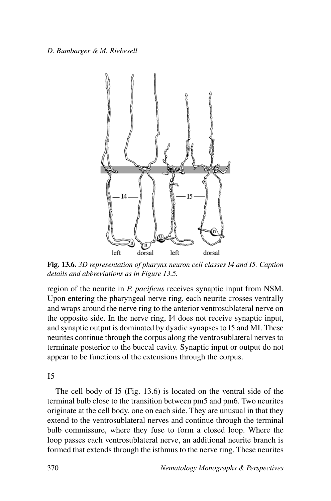

**Fig. 13.6.** *3D representation of pharynx neuron cell classes I4 and I5. Caption details and abbreviations as in Figure 13.5.*

region of the neurite in *P. pacificus* receives synaptic input from NSM. Upon entering the pharyngeal nerve ring, each neurite crosses ventrally and wraps around the nerve ring to the anterior ventrosublateral nerve on the opposite side. In the nerve ring, I4 does not receive synaptic input, and synaptic output is dominated by dyadic synapses to I5 and MI. These neurites continue through the corpus along the ventrosublateral nerves to terminate posterior to the buccal cavity. Synaptic input or output do not appear to be functions of the extensions through the corpus.

 $I<sub>5</sub>$ 

The cell body of I5 (Fig. 13.6) is located on the ventral side of the terminal bulb close to the transition between pm5 and pm6. Two neurites originate at the cell body, one on each side. They are unusual in that they extend to the ventrosublateral nerves and continue through the terminal bulb commissure, where they fuse to form a closed loop. Where the loop passes each ventrosublateral nerve, an additional neurite branch is formed that extends through the isthmus to the nerve ring. These neurites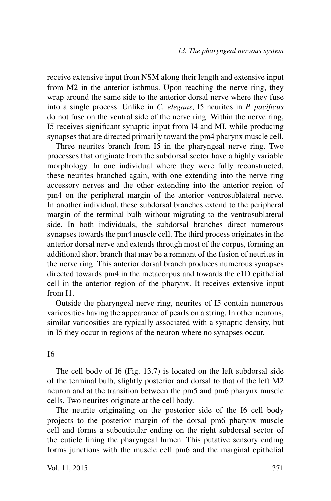receive extensive input from NSM along their length and extensive input from M2 in the anterior isthmus. Upon reaching the nerve ring, they wrap around the same side to the anterior dorsal nerve where they fuse into a single process. Unlike in *C. elegans*, I5 neurites in *P. pacificus* do not fuse on the ventral side of the nerve ring. Within the nerve ring, I5 receives significant synaptic input from I4 and MI, while producing synapses that are directed primarily toward the pm4 pharynx muscle cell.

Three neurites branch from I5 in the pharyngeal nerve ring. Two processes that originate from the subdorsal sector have a highly variable morphology. In one individual where they were fully reconstructed, these neurites branched again, with one extending into the nerve ring accessory nerves and the other extending into the anterior region of pm4 on the peripheral margin of the anterior ventrosublateral nerve. In another individual, these subdorsal branches extend to the peripheral margin of the terminal bulb without migrating to the ventrosublateral side. In both individuals, the subdorsal branches direct numerous synapses towards the pm4 muscle cell. The third process originates in the anterior dorsal nerve and extends through most of the corpus, forming an additional short branch that may be a remnant of the fusion of neurites in the nerve ring. This anterior dorsal branch produces numerous synapses directed towards pm4 in the metacorpus and towards the e1D epithelial cell in the anterior region of the pharynx. It receives extensive input from I1.

Outside the pharyngeal nerve ring, neurites of I5 contain numerous varicosities having the appearance of pearls on a string. In other neurons, similar varicosities are typically associated with a synaptic density, but in I5 they occur in regions of the neuron where no synapses occur.

#### I6

The cell body of I6 (Fig. 13.7) is located on the left subdorsal side of the terminal bulb, slightly posterior and dorsal to that of the left M2 neuron and at the transition between the pm5 and pm6 pharynx muscle cells. Two neurites originate at the cell body.

The neurite originating on the posterior side of the I6 cell body projects to the posterior margin of the dorsal pm6 pharynx muscle cell and forms a subcuticular ending on the right subdorsal sector of the cuticle lining the pharyngeal lumen. This putative sensory ending forms junctions with the muscle cell pm6 and the marginal epithelial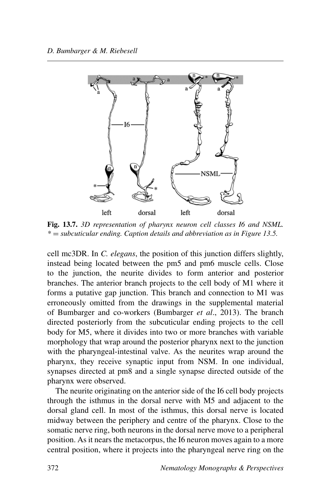

**Fig. 13.7.** *3D representation of pharynx neuron cell classes I6 and NSML. \** = *subcuticular ending. Caption details and abbreviation as in Figure 13.5.*

cell mc3DR. In *C. elegans*, the position of this junction differs slightly, instead being located between the pm5 and pm6 muscle cells. Close to the junction, the neurite divides to form anterior and posterior branches. The anterior branch projects to the cell body of M1 where it forms a putative gap junction. This branch and connection to M1 was erroneously omitted from the drawings in the supplemental material of Bumbarger and co-workers (Bumbarger *et al*., 2013). The branch directed posteriorly from the subcuticular ending projects to the cell body for M5, where it divides into two or more branches with variable morphology that wrap around the posterior pharynx next to the junction with the pharyngeal-intestinal valve. As the neurites wrap around the pharynx, they receive synaptic input from NSM. In one individual, synapses directed at pm8 and a single synapse directed outside of the pharynx were observed.

The neurite originating on the anterior side of the I6 cell body projects through the isthmus in the dorsal nerve with M5 and adjacent to the dorsal gland cell. In most of the isthmus, this dorsal nerve is located midway between the periphery and centre of the pharynx. Close to the somatic nerve ring, both neurons in the dorsal nerve move to a peripheral position. As it nears the metacorpus, the I6 neuron moves again to a more central position, where it projects into the pharyngeal nerve ring on the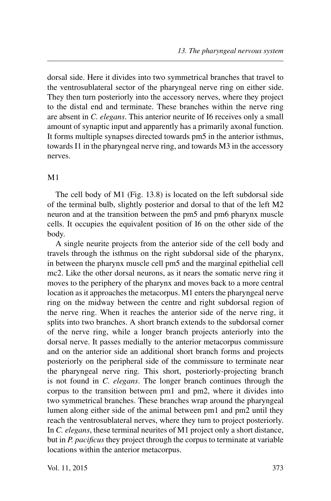dorsal side. Here it divides into two symmetrical branches that travel to the ventrosublateral sector of the pharyngeal nerve ring on either side. They then turn posteriorly into the accessory nerves, where they project to the distal end and terminate. These branches within the nerve ring are absent in *C. elegans*. This anterior neurite of I6 receives only a small amount of synaptic input and apparently has a primarily axonal function. It forms multiple synapses directed towards pm5 in the anterior isthmus, towards I1 in the pharyngeal nerve ring, and towards M3 in the accessory nerves.

## M<sub>1</sub>

The cell body of M1 (Fig. 13.8) is located on the left subdorsal side of the terminal bulb, slightly posterior and dorsal to that of the left M2 neuron and at the transition between the pm5 and pm6 pharynx muscle cells. It occupies the equivalent position of I6 on the other side of the body.

A single neurite projects from the anterior side of the cell body and travels through the isthmus on the right subdorsal side of the pharynx, in between the pharynx muscle cell pm5 and the marginal epithelial cell mc2. Like the other dorsal neurons, as it nears the somatic nerve ring it moves to the periphery of the pharynx and moves back to a more central location as it approaches the metacorpus. M1 enters the pharyngeal nerve ring on the midway between the centre and right subdorsal region of the nerve ring. When it reaches the anterior side of the nerve ring, it splits into two branches. A short branch extends to the subdorsal corner of the nerve ring, while a longer branch projects anteriorly into the dorsal nerve. It passes medially to the anterior metacorpus commissure and on the anterior side an additional short branch forms and projects posteriorly on the peripheral side of the commissure to terminate near the pharyngeal nerve ring. This short, posteriorly-projecting branch is not found in *C. elegans*. The longer branch continues through the corpus to the transition between pm1 and pm2, where it divides into two symmetrical branches. These branches wrap around the pharyngeal lumen along either side of the animal between pm1 and pm2 until they reach the ventrosublateral nerves, where they turn to project posteriorly. In *C. elegans*, these terminal neurites of M1 project only a short distance, but in *P. pacificus* they project through the corpus to terminate at variable locations within the anterior metacorpus.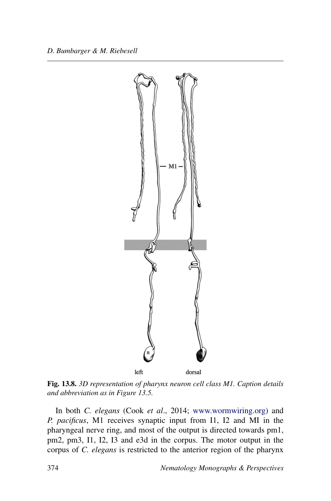

**Fig. 13.8.** *3D representation of pharynx neuron cell class M1. Caption details and abbreviation as in Figure 13.5.*

In both *C. elegans* (Cook *et al*., 2014; [www.wormwiring.org\)](http://www.wormwiring.org) and *P. pacificus*, M1 receives synaptic input from I1, I2 and MI in the pharyngeal nerve ring, and most of the output is directed towards pm1, pm2, pm3, I1, I2, I3 and e3d in the corpus. The motor output in the corpus of *C. elegans* is restricted to the anterior region of the pharynx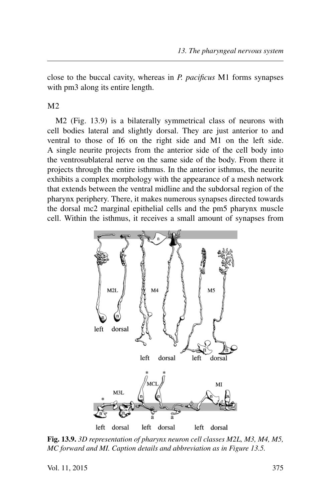close to the buccal cavity, whereas in *P. pacificus* M1 forms synapses with pm3 along its entire length.

#### M2

M2 (Fig. 13.9) is a bilaterally symmetrical class of neurons with cell bodies lateral and slightly dorsal. They are just anterior to and ventral to those of I6 on the right side and M1 on the left side. A single neurite projects from the anterior side of the cell body into the ventrosublateral nerve on the same side of the body. From there it projects through the entire isthmus. In the anterior isthmus, the neurite exhibits a complex morphology with the appearance of a mesh network that extends between the ventral midline and the subdorsal region of the pharynx periphery. There, it makes numerous synapses directed towards the dorsal mc2 marginal epithelial cells and the pm5 pharynx muscle cell. Within the isthmus, it receives a small amount of synapses from



**Fig. 13.9.** *3D representation of pharynx neuron cell classes M2L, M3, M4, M5, MC forward and MI. Caption details and abbreviation as in Figure 13.5.*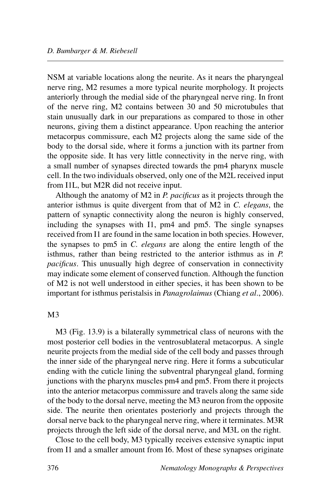NSM at variable locations along the neurite. As it nears the pharyngeal nerve ring, M2 resumes a more typical neurite morphology. It projects anteriorly through the medial side of the pharyngeal nerve ring. In front of the nerve ring, M2 contains between 30 and 50 microtubules that stain unusually dark in our preparations as compared to those in other neurons, giving them a distinct appearance. Upon reaching the anterior metacorpus commissure, each M2 projects along the same side of the body to the dorsal side, where it forms a junction with its partner from the opposite side. It has very little connectivity in the nerve ring, with a small number of synapses directed towards the pm4 pharynx muscle cell. In the two individuals observed, only one of the M2L received input from I1L, but M2R did not receive input.

Although the anatomy of M2 in *P. pacificus* as it projects through the anterior isthmus is quite divergent from that of M2 in *C. elegans*, the pattern of synaptic connectivity along the neuron is highly conserved, including the synapses with I1, pm4 and pm5. The single synapses received from I1 are found in the same location in both species. However, the synapses to pm5 in *C. elegans* are along the entire length of the isthmus, rather than being restricted to the anterior isthmus as in *P. pacificus*. This unusually high degree of conservation in connectivity may indicate some element of conserved function. Although the function of M2 is not well understood in either species, it has been shown to be important for isthmus peristalsis in *Panagrolaimus* (Chiang *et al*., 2006).

## M3

M3 (Fig. 13.9) is a bilaterally symmetrical class of neurons with the most posterior cell bodies in the ventrosublateral metacorpus. A single neurite projects from the medial side of the cell body and passes through the inner side of the pharyngeal nerve ring. Here it forms a subcuticular ending with the cuticle lining the subventral pharyngeal gland, forming junctions with the pharynx muscles pm4 and pm5. From there it projects into the anterior metacorpus commissure and travels along the same side of the body to the dorsal nerve, meeting the M3 neuron from the opposite side. The neurite then orientates posteriorly and projects through the dorsal nerve back to the pharyngeal nerve ring, where it terminates. M3R projects through the left side of the dorsal nerve, and M3L on the right.

Close to the cell body, M3 typically receives extensive synaptic input from I1 and a smaller amount from I6. Most of these synapses originate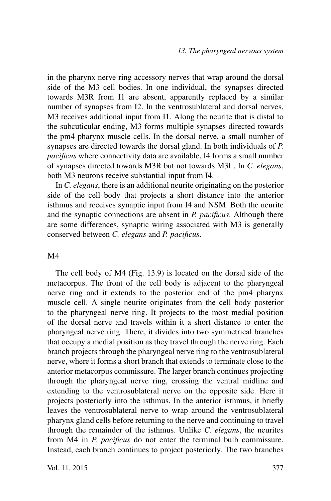in the pharynx nerve ring accessory nerves that wrap around the dorsal side of the M3 cell bodies. In one individual, the synapses directed towards M3R from I1 are absent, apparently replaced by a similar number of synapses from I2. In the ventrosublateral and dorsal nerves, M3 receives additional input from I1. Along the neurite that is distal to the subcuticular ending, M3 forms multiple synapses directed towards the pm4 pharynx muscle cells. In the dorsal nerve, a small number of synapses are directed towards the dorsal gland. In both individuals of *P. pacificus* where connectivity data are available, I4 forms a small number of synapses directed towards M3R but not towards M3L. In *C. elegans*, both M3 neurons receive substantial input from I4.

In *C. elegans*, there is an additional neurite originating on the posterior side of the cell body that projects a short distance into the anterior isthmus and receives synaptic input from I4 and NSM. Both the neurite and the synaptic connections are absent in *P. pacificus*. Although there are some differences, synaptic wiring associated with M3 is generally conserved between *C. elegans* and *P. pacificus*.

#### M4

The cell body of M4 (Fig. 13.9) is located on the dorsal side of the metacorpus. The front of the cell body is adjacent to the pharyngeal nerve ring and it extends to the posterior end of the pm4 pharynx muscle cell. A single neurite originates from the cell body posterior to the pharyngeal nerve ring. It projects to the most medial position of the dorsal nerve and travels within it a short distance to enter the pharyngeal nerve ring. There, it divides into two symmetrical branches that occupy a medial position as they travel through the nerve ring. Each branch projects through the pharyngeal nerve ring to the ventrosublateral nerve, where it forms a short branch that extends to terminate close to the anterior metacorpus commissure. The larger branch continues projecting through the pharyngeal nerve ring, crossing the ventral midline and extending to the ventrosublateral nerve on the opposite side. Here it projects posteriorly into the isthmus. In the anterior isthmus, it briefly leaves the ventrosublateral nerve to wrap around the ventrosublateral pharynx gland cells before returning to the nerve and continuing to travel through the remainder of the isthmus. Unlike *C. elegans*, the neurites from M4 in *P. pacificus* do not enter the terminal bulb commissure. Instead, each branch continues to project posteriorly. The two branches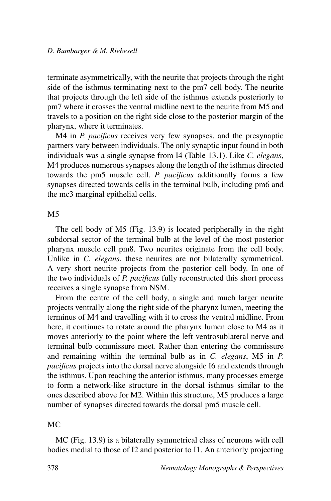terminate asymmetrically, with the neurite that projects through the right side of the isthmus terminating next to the pm7 cell body. The neurite that projects through the left side of the isthmus extends posteriorly to pm7 where it crosses the ventral midline next to the neurite from M5 and travels to a position on the right side close to the posterior margin of the pharynx, where it terminates.

M4 in *P. pacificus* receives very few synapses, and the presynaptic partners vary between individuals. The only synaptic input found in both individuals was a single synapse from I4 (Table 13.1). Like *C. elegans*, M4 produces numerous synapses along the length of the isthmus directed towards the pm5 muscle cell. *P. pacificus* additionally forms a few synapses directed towards cells in the terminal bulb, including pm6 and the mc3 marginal epithelial cells.

#### M5

The cell body of M5 (Fig. 13.9) is located peripherally in the right subdorsal sector of the terminal bulb at the level of the most posterior pharynx muscle cell pm8. Two neurites originate from the cell body. Unlike in *C. elegans*, these neurites are not bilaterally symmetrical. A very short neurite projects from the posterior cell body. In one of the two individuals of *P. pacificus* fully reconstructed this short process receives a single synapse from NSM.

From the centre of the cell body, a single and much larger neurite projects ventrally along the right side of the pharynx lumen, meeting the terminus of M4 and travelling with it to cross the ventral midline. From here, it continues to rotate around the pharynx lumen close to M4 as it moves anteriorly to the point where the left ventrosublateral nerve and terminal bulb commissure meet. Rather than entering the commissure and remaining within the terminal bulb as in *C. elegans*, M5 in *P. pacificus* projects into the dorsal nerve alongside I6 and extends through the isthmus. Upon reaching the anterior isthmus, many processes emerge to form a network-like structure in the dorsal isthmus similar to the ones described above for M2. Within this structure, M5 produces a large number of synapses directed towards the dorsal pm5 muscle cell.

## MC

MC (Fig. 13.9) is a bilaterally symmetrical class of neurons with cell bodies medial to those of I2 and posterior to I1. An anteriorly projecting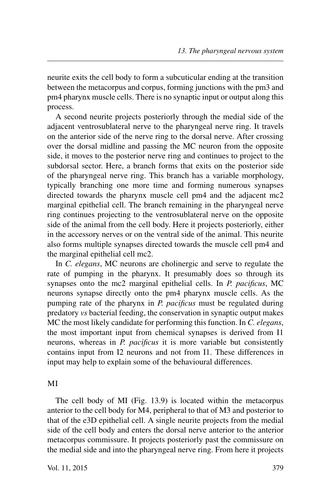neurite exits the cell body to form a subcuticular ending at the transition between the metacorpus and corpus, forming junctions with the pm3 and pm4 pharynx muscle cells. There is no synaptic input or output along this process.

A second neurite projects posteriorly through the medial side of the adjacent ventrosublateral nerve to the pharyngeal nerve ring. It travels on the anterior side of the nerve ring to the dorsal nerve. After crossing over the dorsal midline and passing the MC neuron from the opposite side, it moves to the posterior nerve ring and continues to project to the subdorsal sector. Here, a branch forms that exits on the posterior side of the pharyngeal nerve ring. This branch has a variable morphology, typically branching one more time and forming numerous synapses directed towards the pharynx muscle cell pm4 and the adjacent mc2 marginal epithelial cell. The branch remaining in the pharyngeal nerve ring continues projecting to the ventrosublateral nerve on the opposite side of the animal from the cell body. Here it projects posteriorly, either in the accessory nerves or on the ventral side of the animal. This neurite also forms multiple synapses directed towards the muscle cell pm4 and the marginal epithelial cell mc2.

In *C. elegans*, MC neurons are cholinergic and serve to regulate the rate of pumping in the pharynx. It presumably does so through its synapses onto the mc2 marginal epithelial cells. In *P. pacificus*, MC neurons synapse directly onto the pm4 pharynx muscle cells. As the pumping rate of the pharynx in *P. pacificus* must be regulated during predatory *vs* bacterial feeding, the conservation in synaptic output makes MC the most likely candidate for performing this function. In *C. elegans*, the most important input from chemical synapses is derived from I1 neurons, whereas in *P. pacificus* it is more variable but consistently contains input from I2 neurons and not from I1. These differences in input may help to explain some of the behavioural differences.

#### MI

The cell body of MI (Fig. 13.9) is located within the metacorpus anterior to the cell body for M4, peripheral to that of M3 and posterior to that of the e3D epithelial cell. A single neurite projects from the medial side of the cell body and enters the dorsal nerve anterior to the anterior metacorpus commissure. It projects posteriorly past the commissure on the medial side and into the pharyngeal nerve ring. From here it projects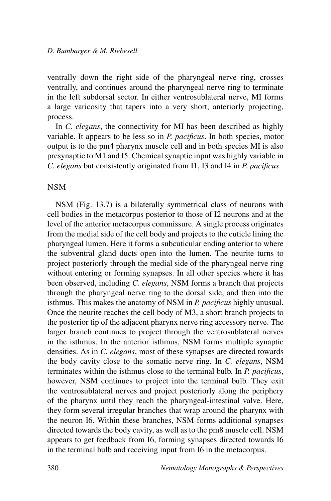ventrally down the right side of the pharyngeal nerve ring, crosses ventrally, and continues around the pharyngeal nerve ring to terminate in the left subdorsal sector. In either ventrosublateral nerve, MI forms a large varicosity that tapers into a very short, anteriorly projecting, process.

In *C. elegans*, the connectivity for MI has been described as highly variable. It appears to be less so in *P. pacificus*. In both species, motor output is to the pm4 pharynx muscle cell and in both species MI is also presynaptic to M1 and I5. Chemical synaptic input was highly variable in *C. elegans* but consistently originated from I1, I3 and I4 in *P. pacificus*.

## NSM

NSM (Fig. 13.7) is a bilaterally symmetrical class of neurons with cell bodies in the metacorpus posterior to those of I2 neurons and at the level of the anterior metacorpus commissure. A single process originates from the medial side of the cell body and projects to the cuticle lining the pharyngeal lumen. Here it forms a subcuticular ending anterior to where the subventral gland ducts open into the lumen. The neurite turns to project posteriorly through the medial side of the pharyngeal nerve ring without entering or forming synapses. In all other species where it has been observed, including *C. elegans*, NSM forms a branch that projects through the pharyngeal nerve ring to the dorsal side, and then into the isthmus. This makes the anatomy of NSM in *P. pacificus* highly unusual. Once the neurite reaches the cell body of M3, a short branch projects to the posterior tip of the adjacent pharynx nerve ring accessory nerve. The larger branch continues to project through the ventrosublateral nerves in the isthmus. In the anterior isthmus, NSM forms multiple synaptic densities. As in *C. elegans*, most of these synapses are directed towards the body cavity close to the somatic nerve ring. In *C. elegans*, NSM terminates within the isthmus close to the terminal bulb. In *P. pacificus*, however, NSM continues to project into the terminal bulb. They exit the ventrosublateral nerves and project posteriorly along the periphery of the pharynx until they reach the pharyngeal-intestinal valve. Here, they form several irregular branches that wrap around the pharynx with the neuron I6. Within these branches, NSM forms additional synapses directed towards the body cavity, as well as to the pm8 muscle cell. NSM appears to get feedback from I6, forming synapses directed towards I6 in the terminal bulb and receiving input from I6 in the metacorpus.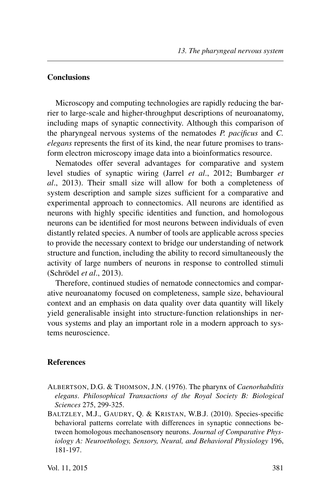## **Conclusions**

Microscopy and computing technologies are rapidly reducing the barrier to large-scale and higher-throughput descriptions of neuroanatomy, including maps of synaptic connectivity. Although this comparison of the pharyngeal nervous systems of the nematodes *P. pacificus* and *C. elegans* represents the first of its kind, the near future promises to transform electron microscopy image data into a bioinformatics resource.

Nematodes offer several advantages for comparative and system level studies of synaptic wiring (Jarrel *et al*., 2012; Bumbarger *et al*., 2013). Their small size will allow for both a completeness of system description and sample sizes sufficient for a comparative and experimental approach to connectomics. All neurons are identified as neurons with highly specific identities and function, and homologous neurons can be identified for most neurons between individuals of even distantly related species. A number of tools are applicable across species to provide the necessary context to bridge our understanding of network structure and function, including the ability to record simultaneously the activity of large numbers of neurons in response to controlled stimuli (Schrödel *et al*., 2013).

Therefore, continued studies of nematode connectomics and comparative neuroanatomy focused on completeness, sample size, behavioural context and an emphasis on data quality over data quantity will likely yield generalisable insight into structure-function relationships in nervous systems and play an important role in a modern approach to systems neuroscience.

## **References**

- ALBERTSON, D.G. & THOMSON, J.N. (1976). The pharynx of *Caenorhabditis elegans*. *Philosophical Transactions of the Royal Society B: Biological Sciences* 275, 299-325.
- BALTZLEY, M.J., GAUDRY, Q. & KRISTAN, W.B.J. (2010). Species-specific behavioral patterns correlate with differences in synaptic connections between homologous mechanosensory neurons. *Journal of Comparative Physiology A: Neuroethology, Sensory, Neural, and Behavioral Physiology* 196, 181-197.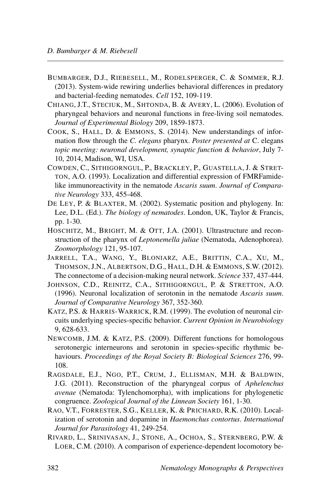- BUMBARGER, D.J., RIEBESELL, M., RODELSPERGER, C. & SOMMER, R.J. (2013). System-wide rewiring underlies behavioral differences in predatory and bacterial-feeding nematodes. *Cell* 152, 109-119.
- CHIANG, J.T., STECIUK, M., SHTONDA, B. & AVERY, L. (2006). Evolution of pharyngeal behaviors and neuronal functions in free-living soil nematodes. *Journal of Experimental Biology* 209, 1859-1873.
- COOK, S., HALL, D. & EMMONS, S. (2014). New understandings of information flow through the *C. elegans* pharynx. *Poster presented at* C. elegans *topic meeting: neuronal development, synaptic function & behavior*, July 7- 10, 2014, Madison, WI, USA.
- COWDEN, C., SITHIGORNGUL, P., BRACKLEY, P., GUASTELLA, J. & STRET-TON, A.O. (1993). Localization and differential expression of FMRFamidelike immunoreactivity in the nematode *Ascaris suum*. *Journal of Comparative Neurology* 333, 455-468.
- DE LEY, P. & BLAXTER, M. (2002). Systematic position and phylogeny. In: Lee, D.L. (Ed.). *The biology of nematodes*. London, UK, Taylor & Francis, pp. 1-30.
- HOSCHITZ, M., BRIGHT, M. & OTT, J.A. (2001). Ultrastructure and reconstruction of the pharynx of *Leptonemella juliae* (Nematoda, Adenophorea). *Zoomorphology* 121, 95-107.
- JARRELL, T.A., WANG, Y., BLONIARZ, A.E., BRITTIN, C.A., XU, M., THOMSON, J.N., ALBERTSON, D.G., HALL, D.H. & EMMONS, S.W. (2012). The connectome of a decision-making neural network. *Science* 337, 437-444.
- JOHNSON, C.D., REINITZ, C.A., SITHIGORNGUL, P. & STRETTON, A.O. (1996). Neuronal localization of serotonin in the nematode *Ascaris suum*. *Journal of Comparative Neurology* 367, 352-360.
- KATZ, P.S. & HARRIS-WARRICK, R.M. (1999). The evolution of neuronal circuits underlying species-specific behavior. *Current Opinion in Neurobiology* 9, 628-633.
- NEWCOMB, J.M. & KATZ, P.S. (2009). Different functions for homologous serotonergic interneurons and serotonin in species-specific rhythmic behaviours. *Proceedings of the Royal Society B: Biological Sciences* 276, 99- 108.
- RAGSDALE, E.J., NGO, P.T., CRUM, J., ELLISMAN, M.H. & BALDWIN, J.G. (2011). Reconstruction of the pharyngeal corpus of *Aphelenchus avenae* (Nematoda: Tylenchomorpha), with implications for phylogenetic congruence. *Zoological Journal of the Linnean Society* 161, 1-30.
- RAO, V.T., FORRESTER, S.G., KELLER, K. & PRICHARD, R.K. (2010). Localization of serotonin and dopamine in *Haemonchus contortus*. *International Journal for Parasitology* 41, 249-254.
- RIVARD, L., SRINIVASAN, J., STONE, A., OCHOA, S., STERNBERG, P.W. & LOER, C.M. (2010). A comparison of experience-dependent locomotory be-